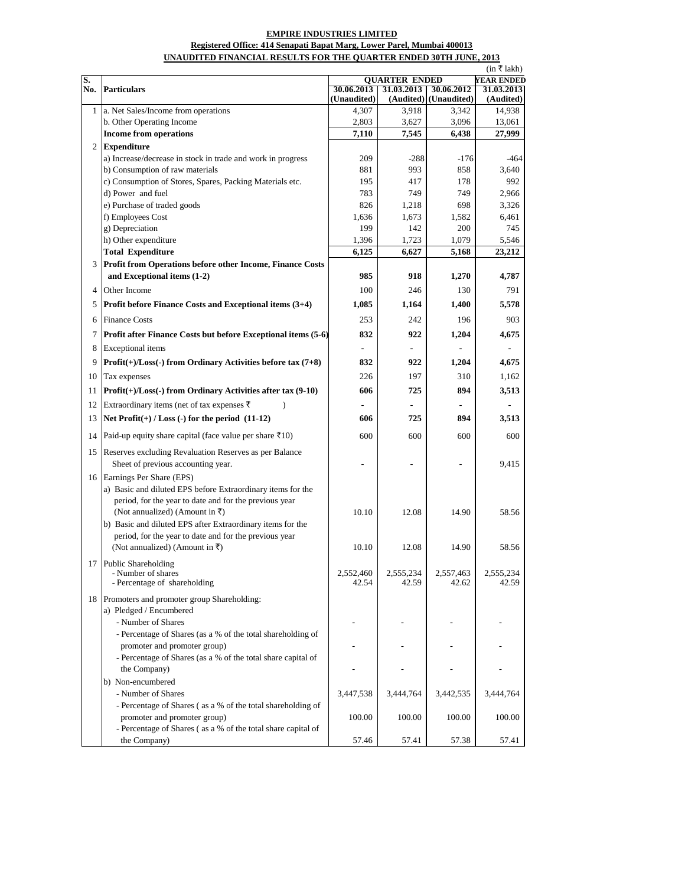## **EMPIRE INDUSTRIES LIMITED**

## **UNAUDITED FINANCIAL RESULTS FOR THE QUARTER ENDED 30TH JUNE, 2013 Registered Office: 414 Senapati Bapat Marg, Lower Parel, Mumbai 400013**

|     |                                                                                                                                                                                                                                                                                                             | (in ₹lakh)                                |                    |                       |                    |  |
|-----|-------------------------------------------------------------------------------------------------------------------------------------------------------------------------------------------------------------------------------------------------------------------------------------------------------------|-------------------------------------------|--------------------|-----------------------|--------------------|--|
| S.  | <b>Particulars</b>                                                                                                                                                                                                                                                                                          | <b>QUARTER ENDED</b><br><b>YEAR ENDED</b> |                    |                       |                    |  |
| No. |                                                                                                                                                                                                                                                                                                             | 30.06.2013                                | 31.03.2013         | 30.06.2012            | 31.03.2013         |  |
|     |                                                                                                                                                                                                                                                                                                             | (Unaudited)                               |                    | (Audited) (Unaudited) | (Audited)          |  |
| 1   | a. Net Sales/Income from operations                                                                                                                                                                                                                                                                         | 4,307                                     | 3,918              | 3,342                 | 14,938             |  |
|     | b. Other Operating Income                                                                                                                                                                                                                                                                                   | 2,803                                     | 3,627              | 3,096                 | 13,061             |  |
|     | <b>Income from operations</b>                                                                                                                                                                                                                                                                               | 7,110                                     | 7,545              | 6,438                 | 27,999             |  |
| 2   | <b>Expenditure</b>                                                                                                                                                                                                                                                                                          |                                           |                    |                       |                    |  |
|     | a) Increase/decrease in stock in trade and work in progress                                                                                                                                                                                                                                                 | 209                                       | $-288$             | $-176$                | -464               |  |
|     | b) Consumption of raw materials                                                                                                                                                                                                                                                                             | 881                                       | 993                | 858                   | 3,640              |  |
|     | c) Consumption of Stores, Spares, Packing Materials etc.                                                                                                                                                                                                                                                    | 195                                       | 417                | 178                   | 992                |  |
|     | d) Power and fuel                                                                                                                                                                                                                                                                                           | 783                                       | 749                | 749                   | 2.966              |  |
|     | e) Purchase of traded goods                                                                                                                                                                                                                                                                                 | 826                                       | 1,218              | 698                   | 3,326              |  |
|     | f) Employees Cost                                                                                                                                                                                                                                                                                           | 1,636                                     | 1,673              | 1,582                 | 6,461              |  |
|     | g) Depreciation                                                                                                                                                                                                                                                                                             | 199                                       | 142                | 200                   | 745                |  |
|     | h) Other expenditure                                                                                                                                                                                                                                                                                        | 1,396                                     | 1,723              | 1,079                 | 5,546              |  |
|     | <b>Total Expenditure</b>                                                                                                                                                                                                                                                                                    | 6,125                                     | 6,627              | 5,168                 | 23,212             |  |
| 3   | Profit from Operations before other Income, Finance Costs                                                                                                                                                                                                                                                   |                                           |                    |                       |                    |  |
|     | and Exceptional items (1-2)                                                                                                                                                                                                                                                                                 | 985                                       | 918                | 1,270                 | 4,787              |  |
| 4   | Other Income                                                                                                                                                                                                                                                                                                | 100                                       | 246                | 130                   | 791                |  |
| 5   | Profit before Finance Costs and Exceptional items (3+4)                                                                                                                                                                                                                                                     | 1,085                                     | 1,164              | 1,400                 | 5,578              |  |
| 6   | <b>Finance Costs</b>                                                                                                                                                                                                                                                                                        | 253                                       | 242                | 196                   | 903                |  |
| 7   | Profit after Finance Costs but before Exceptional items (5-6)                                                                                                                                                                                                                                               | 832                                       | 922                | 1,204                 | 4,675              |  |
| 8   | Exceptional items                                                                                                                                                                                                                                                                                           |                                           |                    |                       |                    |  |
| 9   | $Profit(+) / Loss(-) from Ordinary Activities before tax (7+8)$                                                                                                                                                                                                                                             | 832                                       | 922                | 1,204                 | 4,675              |  |
| 10  | Tax expenses                                                                                                                                                                                                                                                                                                | 226                                       | 197                | 310                   | 1,162              |  |
| 11  | $Profit(+) / Loss(-) from Ordinary Activities after tax (9-10)$                                                                                                                                                                                                                                             | 606                                       | 725                | 894                   | 3,513              |  |
|     |                                                                                                                                                                                                                                                                                                             |                                           |                    |                       |                    |  |
| 12  | Extraordinary items (net of tax expenses ₹<br>Ι                                                                                                                                                                                                                                                             |                                           |                    |                       |                    |  |
| 13  | Net $Profit(+) / Loss(-)$ for the period $(11-12)$                                                                                                                                                                                                                                                          | 606                                       | 725                | 894                   | 3,513              |  |
| 14  | Paid-up equity share capital (face value per share ₹10)                                                                                                                                                                                                                                                     | 600                                       | 600                | 600                   | 600                |  |
| 15  | Reserves excluding Revaluation Reserves as per Balance<br>Sheet of previous accounting year.                                                                                                                                                                                                                |                                           |                    |                       | 9,415              |  |
| 16  | Earnings Per Share (EPS)<br>a) Basic and diluted EPS before Extraordinary items for the<br>period, for the year to date and for the previous year<br>(Not annualized) (Amount in ₹)<br>b) Basic and diluted EPS after Extraordinary items for the<br>period, for the year to date and for the previous year | 10.10                                     | 12.08              | 14.90                 | 58.56              |  |
|     | (Not annualized) (Amount in ₹)                                                                                                                                                                                                                                                                              | 10.10                                     | 12.08              | 14.90                 | 58.56              |  |
|     | 17 Public Shareholding<br>- Number of shares<br>- Percentage of shareholding                                                                                                                                                                                                                                | 2,552,460<br>42.54                        | 2,555,234<br>42.59 | 2,557,463<br>42.62    | 2,555,234<br>42.59 |  |
| 18  | Promoters and promoter group Shareholding:<br>a) Pledged / Encumbered<br>- Number of Shares                                                                                                                                                                                                                 |                                           |                    |                       |                    |  |
|     | - Percentage of Shares (as a % of the total shareholding of                                                                                                                                                                                                                                                 |                                           |                    |                       |                    |  |
|     | promoter and promoter group)                                                                                                                                                                                                                                                                                |                                           |                    |                       |                    |  |
|     | - Percentage of Shares (as a % of the total share capital of                                                                                                                                                                                                                                                |                                           |                    |                       |                    |  |
|     | the Company)                                                                                                                                                                                                                                                                                                |                                           |                    |                       |                    |  |
|     | b) Non-encumbered                                                                                                                                                                                                                                                                                           |                                           |                    |                       |                    |  |
|     | - Number of Shares                                                                                                                                                                                                                                                                                          | 3,447,538                                 | 3,444,764          | 3,442,535             | 3,444,764          |  |
|     | - Percentage of Shares (as a % of the total shareholding of                                                                                                                                                                                                                                                 |                                           |                    |                       |                    |  |
|     | promoter and promoter group)                                                                                                                                                                                                                                                                                | 100.00                                    | 100.00             | 100.00                | 100.00             |  |
|     | - Percentage of Shares (as a % of the total share capital of                                                                                                                                                                                                                                                |                                           |                    |                       |                    |  |
|     | the Company)                                                                                                                                                                                                                                                                                                | 57.46                                     | 57.41              | 57.38                 | 57.41              |  |